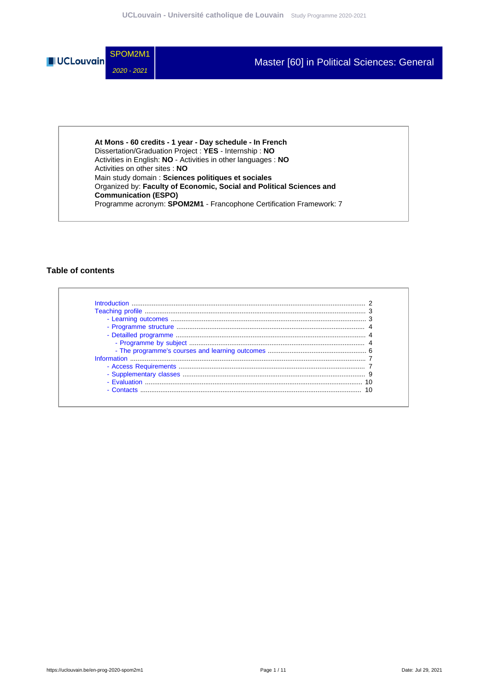

**At Mons - 60 credits - 1 year - Day schedule - In French** Dissertation/Graduation Project : **YES** - Internship : **NO** Activities in English: **NO** - Activities in other languages : **NO** Activities on other sites : **NO** Main study domain : **Sciences politiques et sociales** Organized by: **Faculty of Economic, Social and Political Sciences and Communication (ESPO)** Programme acronym: **SPOM2M1** - Francophone Certification Framework: 7

#### **Table of contents**

| - Evaluation <b>Example 19</b> |  |
|--------------------------------|--|
| - Contacts                     |  |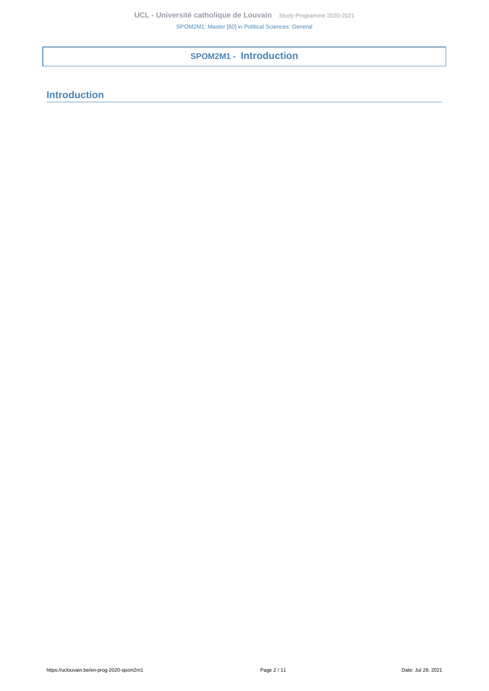**SPOM2M1 - Introduction**

# <span id="page-1-0"></span>**Introduction**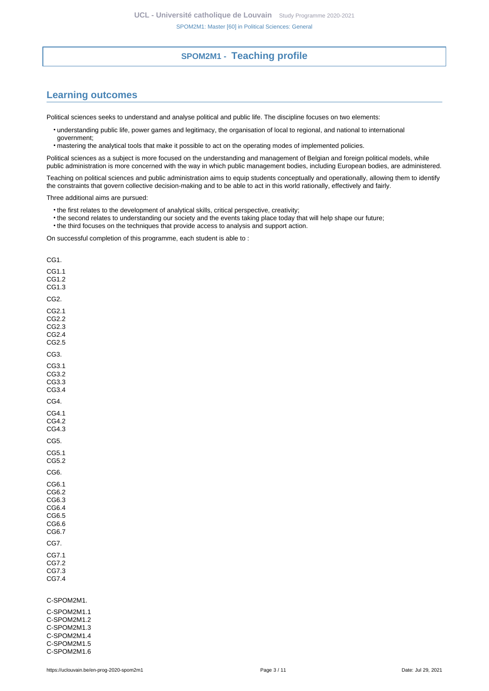## **SPOM2M1 - Teaching profile**

# <span id="page-2-1"></span><span id="page-2-0"></span>**Learning outcomes**

Political sciences seeks to understand and analyse political and public life. The discipline focuses on two elements:

- understanding public life, power games and legitimacy, the organisation of local to regional, and national to international government;
- mastering the analytical tools that make it possible to act on the operating modes of implemented policies.

Political sciences as a subject is more focused on the understanding and management of Belgian and foreign political models, while public administration is more concerned with the way in which public management bodies, including European bodies, are administered.

Teaching on political sciences and public administration aims to equip students conceptually and operationally, allowing them to identify the constraints that govern collective decision-making and to be able to act in this world rationally, effectively and fairly.

Three additional aims are pursued:

- the first relates to the development of analytical skills, critical perspective, creativity;
- the second relates to understanding our society and the events taking place today that will help shape our future;
- the third focuses on the techniques that provide access to analysis and support action.

On successful completion of this programme, each student is able to :

CG1. CG1.1 CG1.2 CG1.3 CG2. CG2.1 CG2.2 CG2.3 CG2.4 CG2.5 CG3. CG3.1 CG3.2 CG3.3 CG3.4 CG4. CG4.1 CG4.2 CG4.3 CG5. CG5.1 CG5.2 CG6. CG6.1 CG6.2 CG6.3 CG6.4 CG6.5 CG6.6 CG6.7 CG7. CG7.1 CG7.2 CG7.3 CG7.4 C-SPOM2M1. C-SPOM2M1.1 C-SPOM2M1.2 C-SPOM2M1.3 C-SPOM2M1.4

C-SPOM2M1.5 C-SPOM2M1.6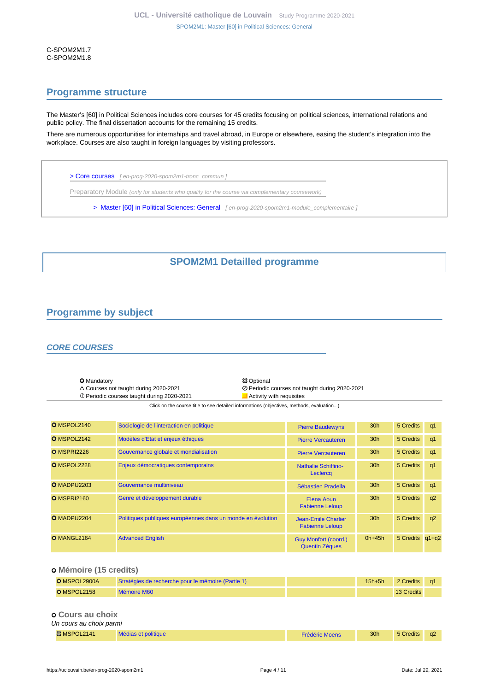C-SPOM2M1.7 C-SPOM2M1.8

## <span id="page-3-0"></span>**Programme structure**

The Master's [60] in Political Sciences includes core courses for 45 credits focusing on political sciences, international relations and public policy. The final dissertation accounts for the remaining 15 credits.

There are numerous opportunities for internships and travel abroad, in Europe or elsewhere, easing the student's integration into the workplace. Courses are also taught in foreign languages by visiting professors.

[> Core courses](en-prog-2020-spom2m1-tronc_commun) [ en-prog-2020-spom2m1-tronc\_commun ]

Preparatory Module (only for students who qualify for the course via complementary coursework)

[> Master \[60\] in Political Sciences: General](en-prog-2020-spom2m1-module_complementaire) [en-prog-2020-spom2m1-module\_complementaire]

# **SPOM2M1 Detailled programme**

# <span id="page-3-2"></span><span id="page-3-1"></span>**Programme by subject**

#### **CORE COURSES**

O Mandatory <br>  $\triangle$  Courses not taught during 2020-2021 <br>  $\oslash$  Periodic ⊕ Periodic courses taught during 2020-2021 <br>
■ Activity with requisites

Courses not taught during 2020-2021 Periodic courses not taught during 2020-2021

Click on the course title to see detailed informations (objectives, methods, evaluation...)

| O MSPOL2140        | Sociologie de l'interaction en politique                    | <b>Pierre Baudewyns</b>                              | 30 <sub>h</sub> | 5 Credits       | q1             |
|--------------------|-------------------------------------------------------------|------------------------------------------------------|-----------------|-----------------|----------------|
| O MSPOL2142        | Modèles d'Etat et enjeux éthiques                           | <b>Pierre Vercauteren</b>                            | 30 <sub>h</sub> | 5 Credits       | q1             |
| O MSPRI2226        | Gouvernance globale et mondialisation                       | <b>Pierre Vercauteren</b>                            | 30 <sub>h</sub> | 5 Credits       | q1             |
| O MSPOL2228        | Enjeux démocratiques contemporains                          | <b>Nathalie Schiffino-</b><br>Leclercq               | 30 <sub>h</sub> | 5 Credits       | q <sub>1</sub> |
| O MADPU2203        | Gouvernance multiniveau                                     | Sébastien Pradella                                   | 30 <sub>h</sub> | 5 Credits       | q1             |
| <b>O</b> MSPRI2160 | Genre et développement durable                              | Elena Aoun<br><b>Fabienne Leloup</b>                 | 30 <sub>h</sub> | 5 Credits       | q2             |
| O MADPU2204        | Politiques publiques européennes dans un monde en évolution | Jean-Emile Charlier<br><b>Fabienne Leloup</b>        | 30 <sub>h</sub> | 5 Credits       | q2             |
| O MANGL2164        | <b>Advanced English</b>                                     | <b>Guy Monfort (coord.)</b><br><b>Quentin Zèques</b> | $0h+45h$        | 5 Credits q1+q2 |                |

#### **Mémoire (15 credits)**

| O MSPOL2900A | Stratégies de recherche pour le mémoire (Partie 1) | $15h+5h$ | 2 Credits  | -a1 |
|--------------|----------------------------------------------------|----------|------------|-----|
| O MSPOL2158  | <b>Mémoire M60</b>                                 |          | 13 Credits |     |
|              |                                                    |          |            |     |
|              |                                                    |          |            |     |

#### **Cours au choix** Un cours au choix parmi

| .            |                     |                       |                 |           |  |
|--------------|---------------------|-----------------------|-----------------|-----------|--|
| 33 MSPOL2141 | Médias et politique | <b>Frédéric Moens</b> | 30 <sub>h</sub> | 5 Credits |  |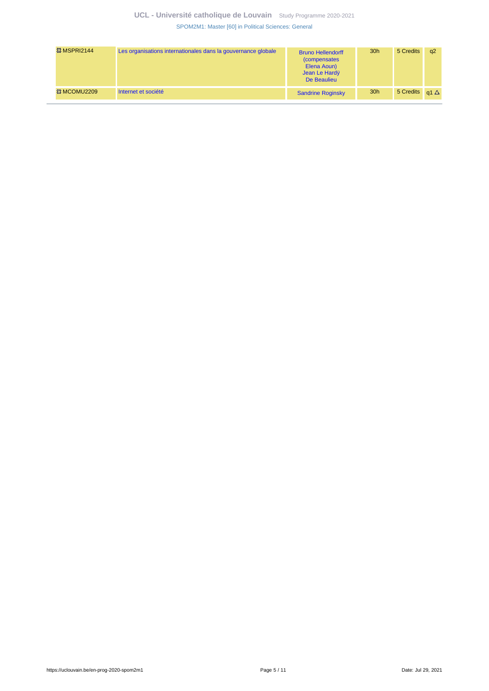## **UCL - Université catholique de Louvain** [Study Programme 2020-2021](https://uclouvain.be/en/study-programme) [SPOM2M1: Master \[60\] in Political Sciences: General](https://uclouvain.be/en-prog-2020-spom2m1.html)

| <b>© MSPRI2144</b>      | Les organisations internationales dans la gouvernance globale | <b>Bruno Hellendorff</b><br><i>(compensates)</i><br>Elena Aoun)<br>Jean Le Hardy<br>De Beaulieu | 30 <sub>h</sub> | 5 Credits                | a2 |
|-------------------------|---------------------------------------------------------------|-------------------------------------------------------------------------------------------------|-----------------|--------------------------|----|
| <b>&amp;3 MCOMU2209</b> | Internet et société                                           | <b>Sandrine Roginsky</b>                                                                        | 30 <sub>h</sub> | 5 Credits $q1 \triangle$ |    |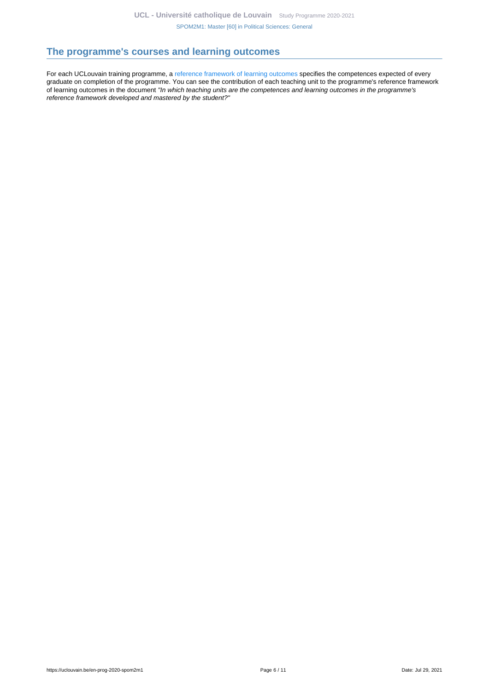# <span id="page-5-0"></span>**The programme's courses and learning outcomes**

For each UCLouvain training programme, a [reference framework of learning outcomes](https://uclouvain.be/en-prog-2020-spom2m1-competences_et_acquis.html) specifies the competences expected of every graduate on completion of the programme. You can see the contribution of each teaching unit to the programme's reference framework of learning outcomes in the document "In which teaching units are the competences and learning outcomes in the programme's reference framework developed and mastered by the student?"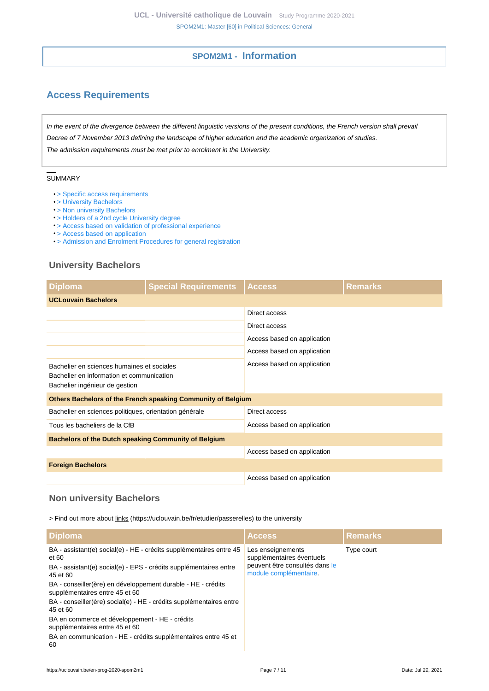## **SPOM2M1 - Information**

# <span id="page-6-1"></span><span id="page-6-0"></span>**Access Requirements**

In the event of the divergence between the different linguistic versions of the present conditions, the French version shall prevail Decree of 7 November 2013 defining the landscape of higher education and the academic organization of studies. The admission requirements must be met prior to enrolment in the University.

#### SUMMARY

- > Specific access requirements
- [> University Bachelors](#page-6-2)
- [> Non university Bachelors](#page-6-3)
- [> Holders of a 2nd cycle University degree](#page-7-0)
- [> Access based on validation of professional experience](#page-7-1)
- [> Access based on application](#page-7-2)
- [> Admission and Enrolment Procedures for general registration](#page-7-3)

## <span id="page-6-2"></span>**University Bachelors**

| <b>Diploma</b>                                                                                                            | <b>Special Requirements</b>                                  | <b>Access</b>               | <b>Remarks</b> |  |
|---------------------------------------------------------------------------------------------------------------------------|--------------------------------------------------------------|-----------------------------|----------------|--|
| <b>UCLouvain Bachelors</b>                                                                                                |                                                              |                             |                |  |
|                                                                                                                           |                                                              | Direct access               |                |  |
|                                                                                                                           |                                                              | Direct access               |                |  |
|                                                                                                                           |                                                              | Access based on application |                |  |
|                                                                                                                           |                                                              | Access based on application |                |  |
| Bachelier en sciences humaines et sociales<br>Bachelier en information et communication<br>Bachelier ingénieur de gestion |                                                              | Access based on application |                |  |
|                                                                                                                           | Others Bachelors of the French speaking Community of Belgium |                             |                |  |
| Bachelier en sciences politiques, orientation générale                                                                    |                                                              | Direct access               |                |  |
| Tous les bacheliers de la CfB                                                                                             |                                                              | Access based on application |                |  |
| <b>Bachelors of the Dutch speaking Community of Belgium</b>                                                               |                                                              |                             |                |  |
|                                                                                                                           |                                                              | Access based on application |                |  |
| <b>Foreign Bachelors</b>                                                                                                  |                                                              |                             |                |  |
|                                                                                                                           |                                                              | Access based on application |                |  |

#### <span id="page-6-3"></span>**Non university Bachelors**

> Find out more about links (https://uclouvain.be/fr/etudier/passerelles) to the university

| <b>Diploma</b>                                                                                                                                    | <b>Access</b>                                                                    | <b>Remarks</b> |
|---------------------------------------------------------------------------------------------------------------------------------------------------|----------------------------------------------------------------------------------|----------------|
| BA - assistant(e) social(e) - HE - crédits supplémentaires entre 45<br>et 60<br>BA - assistant(e) social(e) - EPS - crédits supplémentaires entre | Les enseignements<br>supplémentaires éventuels<br>peuvent être consultés dans le | Type court     |
| 45 et 60                                                                                                                                          | module complémentaire.                                                           |                |
| BA - conseiller(ère) en développement durable - HE - crédits<br>supplémentaires entre 45 et 60                                                    |                                                                                  |                |
| BA - conseiller(ère) social(e) - HE - crédits supplémentaires entre<br>45 et 60                                                                   |                                                                                  |                |
| BA en commerce et développement - HE - crédits<br>supplémentaires entre 45 et 60                                                                  |                                                                                  |                |
| BA en communication - HE - crédits supplémentaires entre 45 et<br>60                                                                              |                                                                                  |                |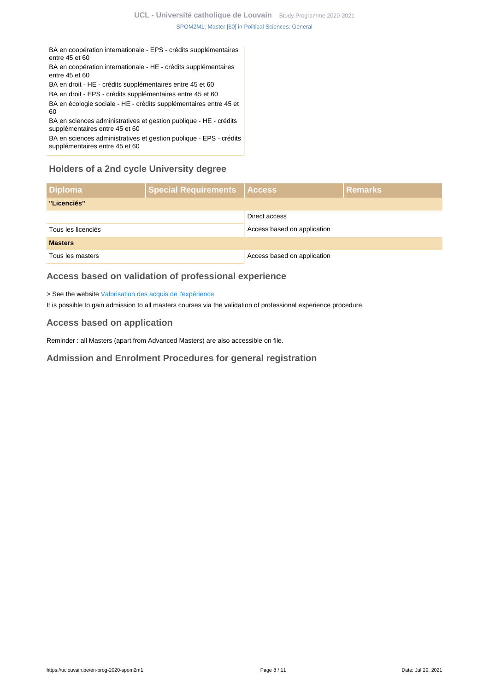BA en coopération internationale - EPS - crédits supplémentaires entre 45 et 60

BA en coopération internationale - HE - crédits supplémentaires entre 45 et 60

BA en droit - HE - crédits supplémentaires entre 45 et 60

BA en droit - EPS - crédits supplémentaires entre 45 et 60

BA en écologie sociale - HE - crédits supplémentaires entre 45 et 60

BA en sciences administratives et gestion publique - HE - crédits supplémentaires entre 45 et 60

BA en sciences administratives et gestion publique - EPS - crédits supplémentaires entre 45 et 60

# <span id="page-7-0"></span>**Holders of a 2nd cycle University degree**

| <b>Diploma</b>     | Special Requirements   Access |                             | <b>Remarks</b> |
|--------------------|-------------------------------|-----------------------------|----------------|
| "Licenciés"        |                               |                             |                |
|                    |                               | Direct access               |                |
| Tous les licenciés |                               | Access based on application |                |
| <b>Masters</b>     |                               |                             |                |
| Tous les masters   |                               | Access based on application |                |

# <span id="page-7-1"></span>**Access based on validation of professional experience**

> See the website [Valorisation des acquis de l'expérience](https://uclouvain.be/fr/etudier/vae)

It is possible to gain admission to all masters courses via the validation of professional experience procedure.

## <span id="page-7-2"></span>**Access based on application**

Reminder : all Masters (apart from Advanced Masters) are also accessible on file.

<span id="page-7-3"></span>**Admission and Enrolment Procedures for general registration**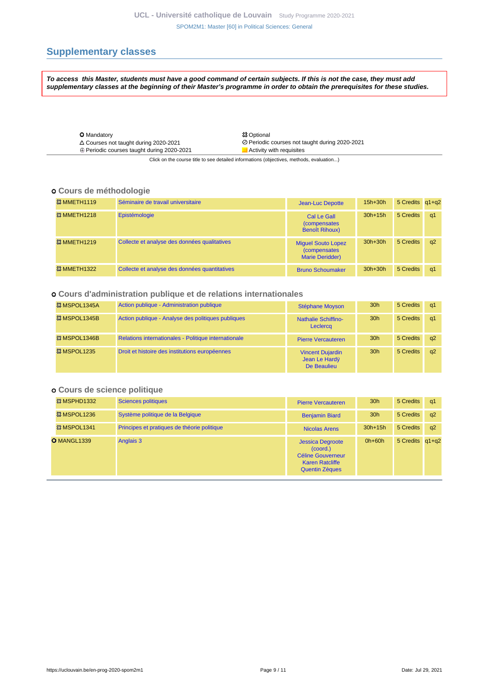# <span id="page-8-0"></span>**Supplementary classes**

**To access this Master, students must have a good command of certain subjects. If this is not the case, they must add supplementary classes at the beginning of their Master's programme in order to obtain the prerequisites for these studies.**

| <b>O</b> Mandatory                                |
|---------------------------------------------------|
| $\triangle$ Courses not taught during 2020-2021   |
| $\oplus$ Periodic courses taught during 2020-2021 |

**総 Optional**  Courses not taught during 2020-2021 Periodic courses not taught during 2020-2021  $\blacksquare$  Activity with requisites

Click on the course title to see detailed informations (objectives, methods, evaluation...)

#### **Cours de méthodologie**

| <b>&amp;3 MMETH1119</b> | Séminaire de travail universitaire            | <b>Jean-Luc Depotte</b>                                                     | $15h+30h$   | 5 Credits q1+q2 |    |
|-------------------------|-----------------------------------------------|-----------------------------------------------------------------------------|-------------|-----------------|----|
| <b>&amp;3 MMETH1218</b> | Epistémologie                                 | Cal Le Gall<br><i>(compensates)</i><br><b>Benoît Rihoux)</b>                | $30h+15h$   | 5 Credits       | q1 |
| <b>&amp;3 MMETH1219</b> | Collecte et analyse des données qualitatives  | <b>Miquel Souto Lopez</b><br><i>(compensates)</i><br><b>Marie Deridder)</b> | $30h + 30h$ | 5 Credits       | q2 |
| <b>&amp;3 MMETH1322</b> | Collecte et analyse des données quantitatives | <b>Bruno Schoumaker</b>                                                     | $30h + 30h$ | 5 Credits       | q1 |

#### **Cours d'administration publique et de relations internationales**

| <sup>33</sup> MSPOL1345A | Action publique - Administration publique            | <b>Stéphane Moyson</b>                                  | 30 <sub>h</sub> | 5 Credits | q1       |
|--------------------------|------------------------------------------------------|---------------------------------------------------------|-----------------|-----------|----------|
| <sup>33</sup> MSPOL1345B | Action publique - Analyse des politiques publiques   | <b>Nathalie Schiffino-</b><br>Leclercq                  | 30 <sub>h</sub> | 5 Credits | q1       |
| <sup>33</sup> MSPOL1346B | Relations internationales - Politique internationale | <b>Pierre Vercauteren</b>                               | 30 <sub>h</sub> | 5 Credits | $\alpha$ |
| <b>&amp;3 MSPOL1235</b>  | Droit et histoire des institutions européennes       | <b>Vincent Dujardin</b><br>Jean Le Hardy<br>De Beaulieu | 30 <sub>h</sub> | 5 Credits | a2       |

#### **Cours de science politique**

| <b>&amp;3 MSPHD1332</b> | <b>Sciences politiques</b>                  | <b>Pierre Vercauteren</b>                                                                                          | 30 <sub>h</sub> | 5 Credits       | q1 |
|-------------------------|---------------------------------------------|--------------------------------------------------------------------------------------------------------------------|-----------------|-----------------|----|
| <b>&amp; MSPOL1236</b>  | Système politique de la Belgique            | <b>Benjamin Biard</b>                                                                                              | 30 <sub>h</sub> | 5 Credits       | q2 |
| <b>&amp; MSPOL1341</b>  | Principes et pratiques de théorie politique | Nicolas Arens                                                                                                      | $30h+15h$       | 5 Credits       | q2 |
| O MANGL1339             | Anglais 3                                   | <b>Jessica Degroote</b><br>(coord.)<br><b>Céline Gouverneur</b><br><b>Karen Ratcliffe</b><br><b>Quentin Zèques</b> | $0h+60h$        | 5 Credits q1+q2 |    |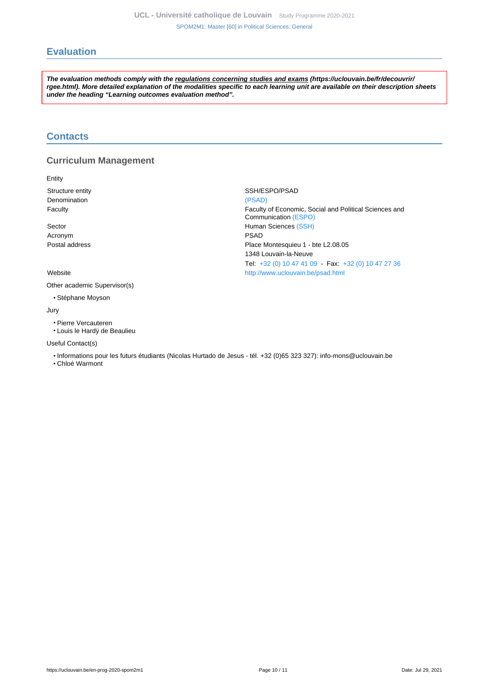# <span id="page-9-0"></span>**Evaluation**

**The evaluation methods comply with the regulations concerning studies and exams (https://uclouvain.be/fr/decouvrir/ rgee.html). More detailed explanation of the modalities specific to each learning unit are available on their description sheets under the heading "Learning outcomes evaluation method".**

#### <span id="page-9-1"></span>**Contacts**

#### **Curriculum Management**

Entity

Structure entity SSH/ESPO/PSAD Denomination [\(PSAD\)](https://uclouvain.be/repertoires/entites/psad)

Acronym PSAD

Other academic Supervisor(s)

• Stéphane Moyson

Jury

• Pierre Vercauteren

• Louis le Hardÿ de Beaulieu

Useful Contact(s)

• Informations pour les futurs étudiants (Nicolas Hurtado de Jesus - tél. +32 (0)65 323 327): info-mons@uclouvain.be

• Chloé Warmont

Faculty Faculty of Economic, Social and Political Sciences and Communication [\(ESPO\)](https://uclouvain.be/repertoires/entites/espo) Sector **Sector Human Sciences** [\(SSH\)](https://uclouvain.be/repertoires/entites/ssh) Postal address **Postal address Place Montesquieu 1 - bte L2.08.05** 1348 Louvain-la-Neuve Tel: [+32 \(0\) 10 47 41 09](https://uclouvain.be/tel:+3210474109) - Fax: [+32 \(0\) 10 47 27 36](https://uclouvain.be/tel:+3210472736) Website <http://www.uclouvain.be/psad.html>